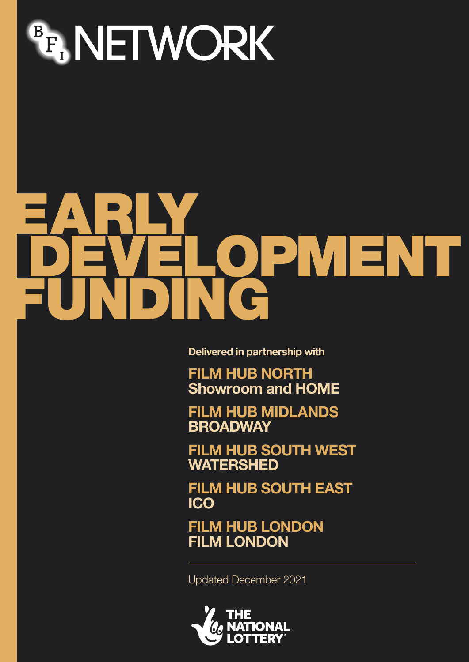

# EARLY. DEVELOPMENT FUNDING

**Delivered in partnership with**

**FILM HUB NORTH Showroom and HOME**

**FILM HUB MIDLANDS BROADWAY**

**FILM HUB SOUTH WEST WATERSHED**

**FILM HUB SOUTH EAST ICO**

**FILM HUB LONDON FILM LONDON**

Updated December 2021

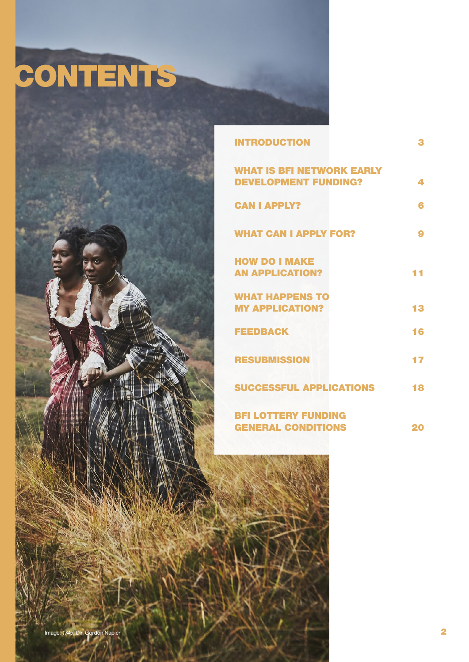# CONTENTS



| <b>INTRODUCTION</b>                                             | 3  |
|-----------------------------------------------------------------|----|
| <b>WHAT IS BFI NETWORK EARLY</b><br><b>DEVELOPMENT FUNDING?</b> | 4  |
| <b>CAN I APPLY?</b>                                             | 6  |
| <b>WHAT CAN I APPLY FOR?</b>                                    | 9  |
| <b>HOW DO I MAKE</b><br><b>AN APPLICATION?</b>                  |    |
| <b>WHAT HAPPENS TO</b><br><b>MY APPLICATION?</b>                | 13 |
| <b>FEEDBACK</b>                                                 | 16 |
| <b>RESUBMISSION</b>                                             | 17 |
| <b>SUCCESSFUL APPLICATIONS</b>                                  | 18 |
| <b>BFI LOTTERY FUNDING</b><br><b>GENERAL CONDITIONS</b>         | 20 |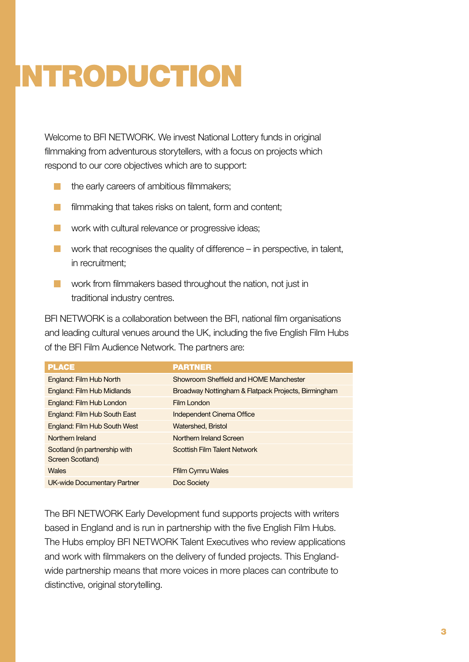# <span id="page-2-1"></span><span id="page-2-0"></span>INTRODUCTION

Welcome to BFI NETWORK. We invest National Lottery funds in original filmmaking from adventurous storytellers, with a focus on projects which respond to our core objectives which are to support:

- **the early careers of ambitious filmmakers;**
- **Filmmaking that takes risks on talent, form and content;**
- work with cultural relevance or progressive ideas:
- work that recognises the quality of difference  $-$  in perspective, in talent, in recruitment;
- **Now** work from filmmakers based throughout the nation, not just in traditional industry centres.

BFI NETWORK is a collaboration between the BFI, national film organisations and leading cultural venues around the UK, including the five English Film Hubs of the BFI Film Audience Network. The partners are:

| <b>PLACE</b>                                      | <b>PARTNER</b>                                      |
|---------------------------------------------------|-----------------------------------------------------|
| England: Film Hub North                           | Showroom Sheffield and HOME Manchester              |
| <b>England: Film Hub Midlands</b>                 | Broadway Nottingham & Flatpack Projects, Birmingham |
| England: Film Hub London                          | Film London                                         |
| England: Film Hub South East                      | Independent Cinema Office                           |
| <b>England: Film Hub South West</b>               | Watershed, Bristol                                  |
| Northern Ireland                                  | Northern Ireland Screen                             |
| Scotland (in partnership with<br>Screen Scotland) | <b>Scottish Film Talent Network</b>                 |
| <b>Wales</b>                                      | <b>Ffilm Cymru Wales</b>                            |
| <b>UK-wide Documentary Partner</b>                | Doc Society                                         |

The BFI NETWORK Early Development fund supports projects with writers based in England and is run in partnership with the five English Film Hubs. The Hubs employ BFI NETWORK Talent Executives who review applications and work with filmmakers on the delivery of funded projects. This Englandwide partnership means that more voices in more places can contribute to distinctive, original storytelling.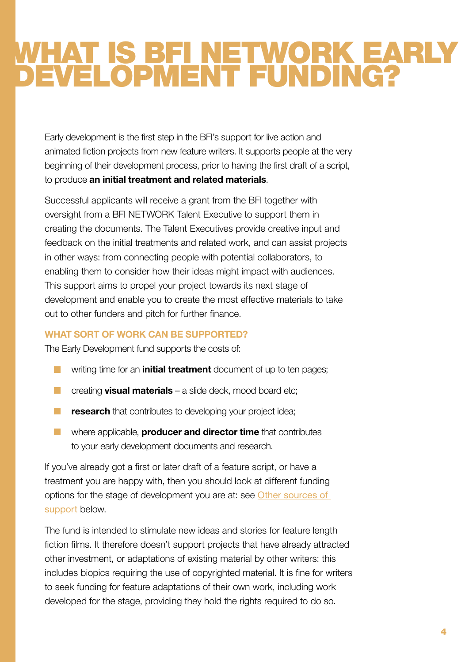## <span id="page-3-0"></span>WHAT IS BFI NETWORK EARLY DEVELOPMENT FUNDING?

Early development is the first step in the BFI's support for live action and animated fiction projects from new feature writers. It supports people at the very beginning of their development process, prior to having the first draft of a script, to produce an initial treatment and related materials.

Successful applicants will receive a grant from the BFI together with oversight from a BFI NETWORK Talent Executive to support them in creating the documents. The Talent Executives provide creative input and feedback on the initial treatments and related work, and can assist projects in other ways: from connecting people with potential collaborators, to enabling them to consider how their ideas might impact with audiences. This support aims to propel your project towards its next stage of development and enable you to create the most effective materials to take out to other funders and pitch for further finance.

#### **WHAT SORT OF WORK CAN BE SUPPORTED?**

The Early Development fund supports the costs of:

- $\blacksquare$  writing time for an **initial treatment** document of up to ten pages;
- $\Box$  creating **visual materials** a slide deck, mood board etc;
- **F** research that contributes to developing your project idea;
- $\blacksquare$  where applicable, **producer and director time** that contributes to your early development documents and research.

If you've already got a first or later draft of a feature script, or have a treatment you are happy with, then you should look at different funding options for the stage of development you are at: see [Other sources of](#page-4-0)  [support](#page-4-0) below.

The fund is intended to stimulate new ideas and stories for feature length fiction films. It therefore doesn't support projects that have already attracted other investment, or adaptations of existing material by other writers: this includes biopics requiring the use of copyrighted material. It is fine for writers to seek funding for feature adaptations of their own work, including work developed for the stage, providing they hold the rights required to do so.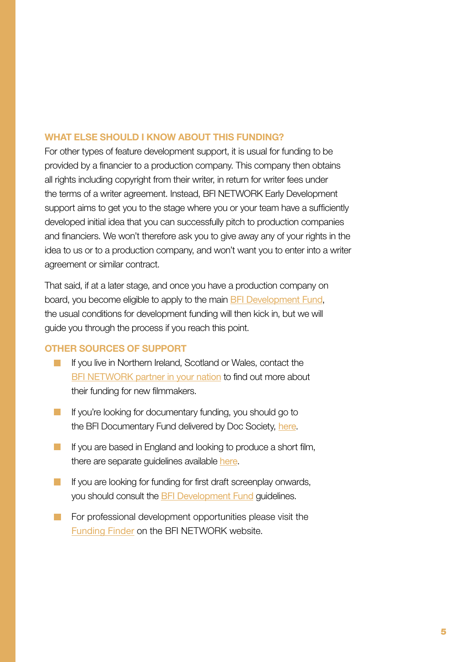#### **WHAT ELSE SHOULD I KNOW ABOUT THIS FUNDING?**

For other types of feature development support, it is usual for funding to be provided by a financier to a production company. This company then obtains all rights including copyright from their writer, in return for writer fees under the terms of a writer agreement. Instead, BFI NETWORK Early Development support aims to get you to the stage where you or your team have a sufficiently developed initial idea that you can successfully pitch to production companies and financiers. We won't therefore ask you to give away any of your rights in the idea to us or to a production company, and won't want you to enter into a writer agreement or similar contract.

That said, if at a later stage, and once you have a production company on board, you become eligible to apply to the main [BFI Development Fund](http://www.bfi.org.uk/supporting-uk-film/production-development-funding/development-funding), the usual conditions for development funding will then kick in, but we will guide you through the process if you reach this point.

#### <span id="page-4-0"></span>**OTHER SOURCES OF SUPPORT**

- If you live in Northern Ireland, Scotland or Wales, contact the [BFI NETWORK partner in your nation](https://network.bfi.org.uk/funding-finder) to find out more about their funding for new filmmakers.
- If you're looking for documentary funding, you should go to the BFI Documentary Fund delivered by Doc Society, [here](https://docsociety.org/bfi-doc/).
- If you are based in England and looking to produce a short film, t[here](https://network.bfi.org.uk/funding-available) are separate guidelines available here.
- **If** you are looking for funding for first draft screenplay onwards, you should consult the [BFI Development Fund](http://www.bfi.org.uk/supporting-uk-film/production-development-funding/development-funding) guidelines.
- For professional development opportunities please visit the [Funding Finder](https://network.bfi.org.uk/funding-finder) on the BFI NETWORK website.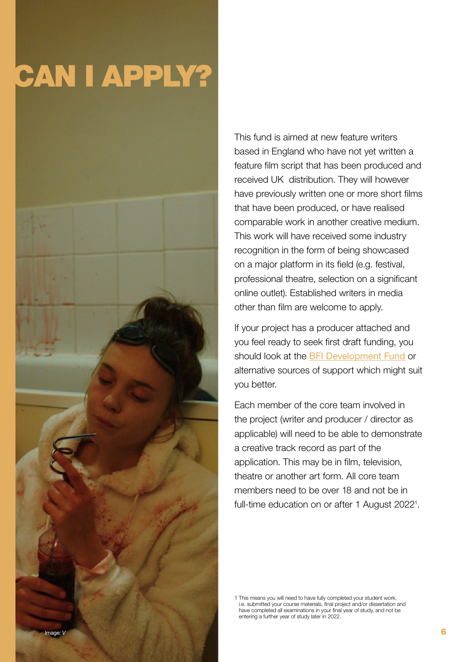# <span id="page-5-0"></span>CAN I APPLY?



This fund is aimed at new feature writers based in England who have not yet written a feature film script that has been produced and received UK distribution. They will however have previously written one or more short films that have been produced, or have realised comparable work in another creative medium. This work will have received some industry recognition in the form of being showcased on a major platform in its field (e.g. festival, professional theatre, selection on a significant online outlet). Established writers in media other than film are welcome to apply.

If your project has a producer attached and you feel ready to seek first draft funding, you should look at the **[BFI Development Fund](http://www.bfi.org.uk/supporting-uk-film/production-development-funding/development-funding) or** alternative sources of support which might suit you better.

Each member of the core team involved in the project (writer and producer / director as applicable) will need to be able to demonstrate a creative track record as part of the application. This may be in film, television, theatre or another art form. All core team members need to be over 18 and not be in full-time education on or after 1 August 2022<sup>1</sup>.

1 This means you will need to have fully completed your student work, i.e. submitted your course materials, final project and/or dissertation and have completed all examinations in your final year of study, and not be entering a further year of study later in 2022.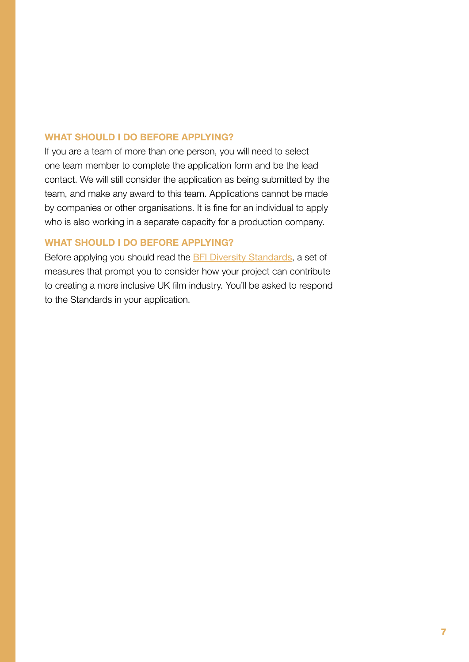#### **WHAT SHOULD I DO BEFORE APPLYING?**

If you are a team of more than one person, you will need to select one team member to complete the application form and be the lead contact. We will still consider the application as being submitted by the team, and make any award to this team. Applications cannot be made by companies or other organisations. It is fine for an individual to apply who is also working in a separate capacity for a production company.

#### **WHAT SHOULD I DO BEFORE APPLYING?**

Before applying you should read the [BFI Diversity Standards](http://www.bfi.org.uk/about-bfi/policy-strategy/diversity/diversity-standards), a set of measures that prompt you to consider how your project can contribute to creating a more inclusive UK film industry. You'll be asked to respond to the Standards in your application.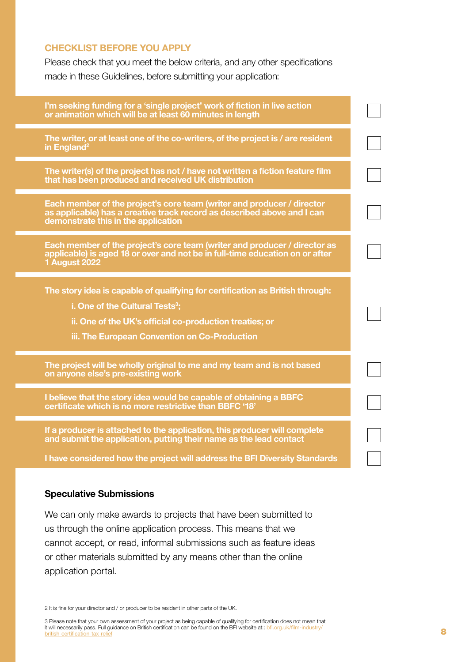#### **CHECKLIST BEFORE YOU APPLY**

Please check that you meet the below criteria, and any other specifications made in these Guidelines, before submitting your application:

| The writer, or at least one of the co-writers, of the project is / are resident<br>in England <sup>2</sup><br>The writer(s) of the project has not / have not written a fiction feature film<br>that has been produced and received UK distribution<br>Each member of the project's core team (writer and producer / director<br>as applicable) has a creative track record as described above and I can<br>demonstrate this in the application<br>Each member of the project's core team (writer and producer / director as<br>applicable) is aged 18 or over and not be in full-time education on or after<br><b>1 August 2022</b><br>The story idea is capable of qualifying for certification as British through:<br>i. One of the Cultural Tests <sup>3</sup> ;<br>ii. One of the UK's official co-production treaties; or<br>iii. The European Convention on Co-Production<br>The project will be wholly original to me and my team and is not based<br>on anyone else's pre-existing work<br>I believe that the story idea would be capable of obtaining a BBFC<br>certificate which is no more restrictive than BBFC '18'<br>If a producer is attached to the application, this producer will complete<br>and submit the application, putting their name as the lead contact<br>I have considered how the project will address the BFI Diversity Standards | I'm seeking funding for a 'single project' work of fiction in live action<br>or animation which will be at least 60 minutes in length |  |
|--------------------------------------------------------------------------------------------------------------------------------------------------------------------------------------------------------------------------------------------------------------------------------------------------------------------------------------------------------------------------------------------------------------------------------------------------------------------------------------------------------------------------------------------------------------------------------------------------------------------------------------------------------------------------------------------------------------------------------------------------------------------------------------------------------------------------------------------------------------------------------------------------------------------------------------------------------------------------------------------------------------------------------------------------------------------------------------------------------------------------------------------------------------------------------------------------------------------------------------------------------------------------------------------------------------------------------------------------------------------|---------------------------------------------------------------------------------------------------------------------------------------|--|
|                                                                                                                                                                                                                                                                                                                                                                                                                                                                                                                                                                                                                                                                                                                                                                                                                                                                                                                                                                                                                                                                                                                                                                                                                                                                                                                                                                    |                                                                                                                                       |  |
|                                                                                                                                                                                                                                                                                                                                                                                                                                                                                                                                                                                                                                                                                                                                                                                                                                                                                                                                                                                                                                                                                                                                                                                                                                                                                                                                                                    |                                                                                                                                       |  |
|                                                                                                                                                                                                                                                                                                                                                                                                                                                                                                                                                                                                                                                                                                                                                                                                                                                                                                                                                                                                                                                                                                                                                                                                                                                                                                                                                                    |                                                                                                                                       |  |
|                                                                                                                                                                                                                                                                                                                                                                                                                                                                                                                                                                                                                                                                                                                                                                                                                                                                                                                                                                                                                                                                                                                                                                                                                                                                                                                                                                    |                                                                                                                                       |  |
|                                                                                                                                                                                                                                                                                                                                                                                                                                                                                                                                                                                                                                                                                                                                                                                                                                                                                                                                                                                                                                                                                                                                                                                                                                                                                                                                                                    |                                                                                                                                       |  |
|                                                                                                                                                                                                                                                                                                                                                                                                                                                                                                                                                                                                                                                                                                                                                                                                                                                                                                                                                                                                                                                                                                                                                                                                                                                                                                                                                                    |                                                                                                                                       |  |
|                                                                                                                                                                                                                                                                                                                                                                                                                                                                                                                                                                                                                                                                                                                                                                                                                                                                                                                                                                                                                                                                                                                                                                                                                                                                                                                                                                    |                                                                                                                                       |  |
|                                                                                                                                                                                                                                                                                                                                                                                                                                                                                                                                                                                                                                                                                                                                                                                                                                                                                                                                                                                                                                                                                                                                                                                                                                                                                                                                                                    |                                                                                                                                       |  |
|                                                                                                                                                                                                                                                                                                                                                                                                                                                                                                                                                                                                                                                                                                                                                                                                                                                                                                                                                                                                                                                                                                                                                                                                                                                                                                                                                                    |                                                                                                                                       |  |

#### Speculative Submissions

We can only make awards to projects that have been submitted to us through the online application process. This means that we cannot accept, or read, informal submissions such as feature ideas or other materials submitted by any means other than the online application portal.

2 It is fine for your director and / or producer to be resident in other parts of the UK.

3 Please note that your own assessment of your project as being capable of qualifying for certification does not mean that it will necessarily pass. Full guidance on British certification can be found on the BFI website at:: [bfi.org.uk/film-industry/](http://www.bfi.org.uk/supporting-uk-film/british-certification-tax-relief) british-certification-tax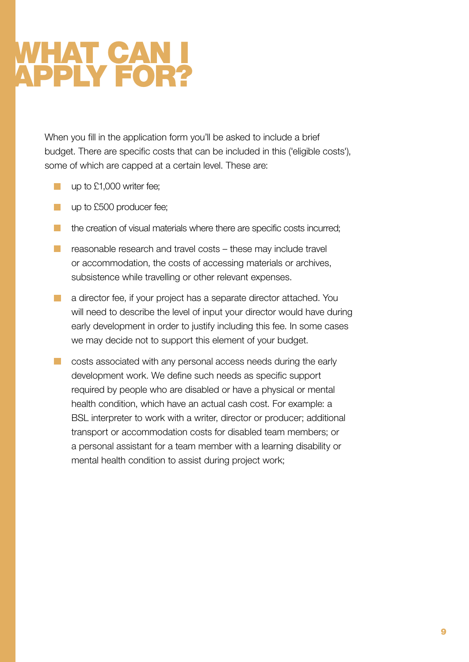### <span id="page-8-0"></span>WHAT CAN I APPLY FOR?

When you fill in the application form you'll be asked to include a brief budget. There are specific costs that can be included in this ('eligible costs'), some of which are capped at a certain level. These are:

- up to £1,000 writer fee;
- **up to £500 producer fee;**
- $\blacksquare$  the creation of visual materials where there are specific costs incurred;
- $\blacksquare$  reasonable research and travel costs these may include travel or accommodation, the costs of accessing materials or archives, subsistence while travelling or other relevant expenses.
- **a** director fee, if your project has a separate director attached. You will need to describe the level of input your director would have during early development in order to justify including this fee. In some cases we may decide not to support this element of your budget.
- **COST** costs associated with any personal access needs during the early development work. We define such needs as specific support required by people who are disabled or have a physical or mental health condition, which have an actual cash cost. For example: a BSL interpreter to work with a writer, director or producer; additional transport or accommodation costs for disabled team members; or a personal assistant for a team member with a learning disability or mental health condition to assist during project work;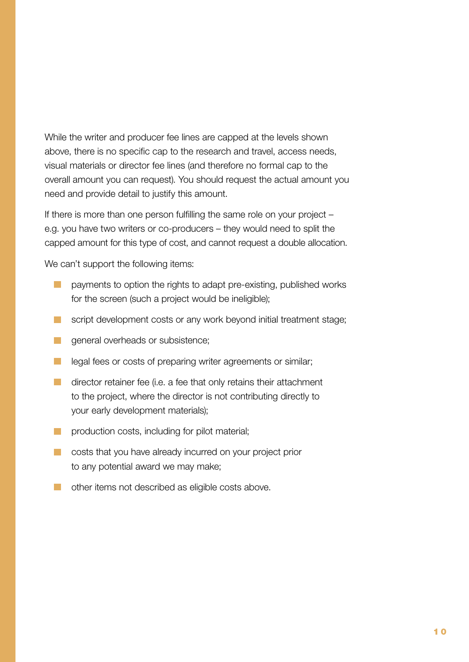While the writer and producer fee lines are capped at the levels shown above, there is no specific cap to the research and travel, access needs, visual materials or director fee lines (and therefore no formal cap to the overall amount you can request). You should request the actual amount you need and provide detail to justify this amount.

If there is more than one person fulfilling the same role on your project – e.g. you have two writers or co-producers – they would need to split the capped amount for this type of cost, and cannot request a double allocation.

We can't support the following items:

- **EXECUTE:** payments to option the rights to adapt pre-existing, published works for the screen (such a project would be ineligible);
- script development costs or any work beyond initial treatment stage;
- **g** general overheads or subsistence;
- **legal fees or costs of preparing writer agreements or similar;**
- $\Box$  director retainer fee (i.e. a fee that only retains their attachment to the project, where the director is not contributing directly to your early development materials);
- **production costs, including for pilot material;**
- **Costs that you have already incurred on your project prior** to any potential award we may make;
- **n** other items not described as eligible costs above.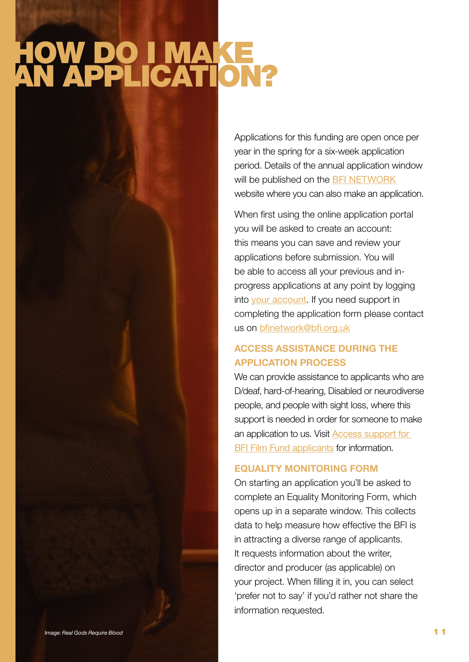## <span id="page-10-0"></span>HOW DO I MAKE AN APPLICATION?

Applications for this funding are open once per year in the spring for a six-week application period. Details of the annual application window will be published on the [BFI NETWORK](https://network.bfi.org.uk/funding-available) website where you can also make an application.

When first using the online application portal you will be asked to create an account: this means you can save and review your applications before submission. You will be able to access all your previous and inprogress applications at any point by logging into [your account](https://www.grantrequest.co.uk/Login.aspx?ReturnUrl=%2faccountmanager.aspx%3fSA%3dAM%26sid%3d106&SA=AM&sid=106). If you need support in completing the application form please contact us on bfinetwork@bfi.org.uk

#### **ACCESS ASSISTANCE DURING THE APPLICATION PROCESS**

We can provide assistance to applicants who are D/deaf, hard-of-hearing, Disabled or neurodiverse people, and people with sight loss, where this support is needed in order for someone to make an application to us. Visit [Access support for](https://www.bfi.org.uk/supporting-uk-film/film-fund/access-support-bfi-film-fund-applicants)  [BFI Film Fund applicants](https://www.bfi.org.uk/supporting-uk-film/film-fund/access-support-bfi-film-fund-applicants) for information.

#### **EQUALITY MONITORING FORM**

On starting an application you'll be asked to complete an Equality Monitoring Form, which opens up in a separate window. This collects data to help measure how effective the BFI is in attracting a diverse range of applicants. It requests information about the writer, director and producer (as applicable) on your project. When filling it in, you can select 'prefer not to say' if you'd rather not share the information requested.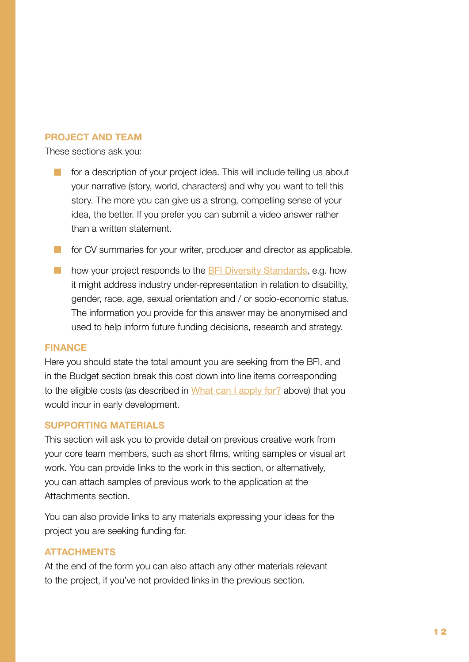#### **PROJECT AND TEAM**

These sections ask you:

 for a description of your project idea. This will include telling us about your narrative (story, world, characters) and why you want to tell this story. The more you can give us a strong, compelling sense of your idea, the better. If you prefer you can submit a video answer rather than a written statement.

**For CV summaries for your writer, producer and director as applicable.** 

**how your project responds to the [BFI Diversity Standards](http://www.bfi.org.uk/about-bfi/policy-strategy/diversity/diversity-standards), e.g. how** it might address industry under-representation in relation to disability, gender, race, age, sexual orientation and / or socio-economic status. The information you provide for this answer may be anonymised and used to help inform future funding decisions, research and strategy.

#### **FINANCE**

Here you should state the total amount you are seeking from the BFI, and in the Budget section break this cost down into line items corresponding to the eligible costs (as described in [What can I apply for?](#page-8-0) above) that you would incur in early development.

#### **SUPPORTING MATERIALS**

This section will ask you to provide detail on previous creative work from your core team members, such as short films, writing samples or visual art work. You can provide links to the work in this section, or alternatively, you can attach samples of previous work to the application at the Attachments section.

You can also provide links to any materials expressing your ideas for the project you are seeking funding for.

#### **ATTACHMENTS**

At the end of the form you can also attach any other materials relevant to the project, if you've not provided links in the previous section.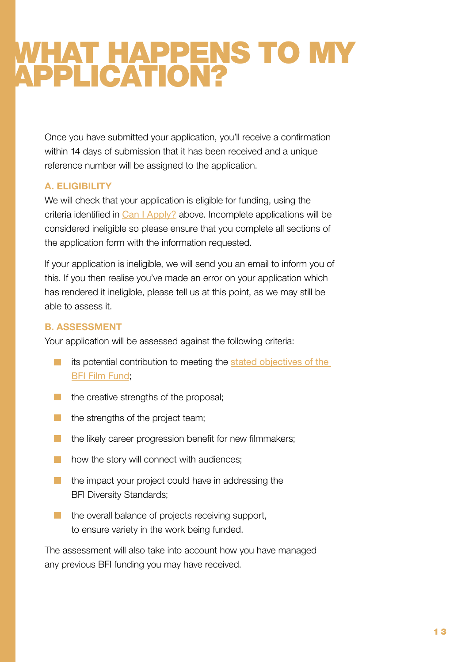### <span id="page-12-0"></span>WHAT HAPPENS TO MY APPLICATION?

Once you have submitted your application, you'll receive a confirmation within 14 days of submission that it has been received and a unique reference number will be assigned to the application.

#### **A. ELIGIBILITY**

We will check that your application is eligible for funding, using the criteria identified in [Can I Apply?](#page-5-0) above. Incomplete applications will be considered ineligible so please ensure that you complete all sections of the application form with the information requested.

If your application is ineligible, we will send you an email to inform you of this. If you then realise you've made an error on your application which has rendered it ineligible, please tell us at this point, as we may still be able to assess it.

#### **B. ASSESSMENT**

Your application will be assessed against the following criteria:

- **is potential contribution to meeting the stated objectives of the** [BFI Film Fund](#page-2-0);
- $\blacksquare$  the creative strengths of the proposal;
- $\blacksquare$  the strengths of the project team;
- the likely career progression benefit for new filmmakers;  $\mathcal{L}^{\text{max}}$
- how the story will connect with audiences;  $\mathbb{R}^n$
- $\blacksquare$  the impact your project could have in addressing the BFI Diversity Standards;
- **the overall balance of projects receiving support,** to ensure variety in the work being funded.

The assessment will also take into account how you have managed any previous BFI funding you may have received.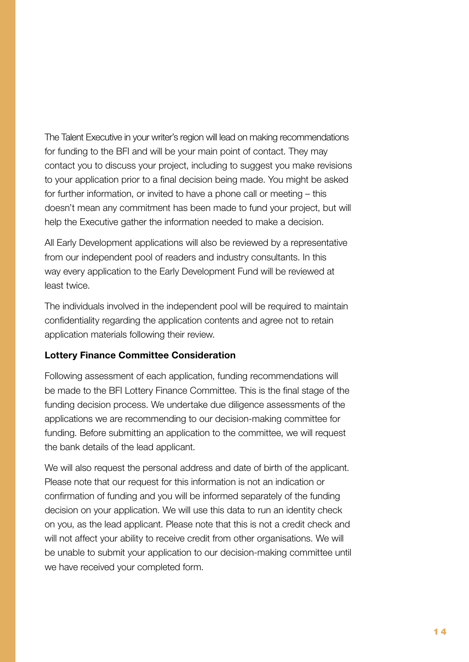The Talent Executive in your writer's region will lead on making recommendations for funding to the BFI and will be your main point of contact. They may contact you to discuss your project, including to suggest you make revisions to your application prior to a final decision being made. You might be asked for further information, or invited to have a phone call or meeting – this doesn't mean any commitment has been made to fund your project, but will help the Executive gather the information needed to make a decision.

All Early Development applications will also be reviewed by a representative from our independent pool of readers and industry consultants. In this way every application to the Early Development Fund will be reviewed at least twice.

The individuals involved in the independent pool will be required to maintain confidentiality regarding the application contents and agree not to retain application materials following their review.

#### Lottery Finance Committee Consideration

Following assessment of each application, funding recommendations will be made to the BFI Lottery Finance Committee. This is the final stage of the funding decision process. We undertake due diligence assessments of the applications we are recommending to our decision-making committee for funding. Before submitting an application to the committee, we will request the bank details of the lead applicant.

We will also request the personal address and date of birth of the applicant. Please note that our request for this information is not an indication or confirmation of funding and you will be informed separately of the funding decision on your application. We will use this data to run an identity check on you, as the lead applicant. Please note that this is not a credit check and will not affect your ability to receive credit from other organisations. We will be unable to submit your application to our decision-making committee until we have received your completed form.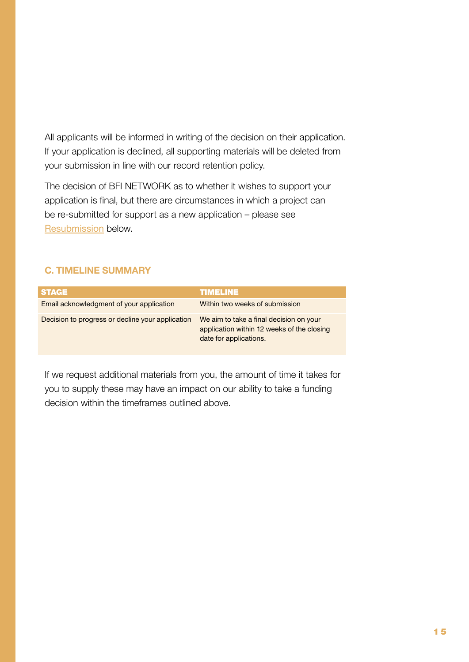All applicants will be informed in writing of the decision on their application. If your application is declined, all supporting materials will be deleted from your submission in line with our record retention policy.

The decision of BFI NETWORK as to whether it wishes to support your application is final, but there are circumstances in which a project can be re-submitted for support as a new application – please see [Resubmission](#page-16-0) below.

#### **C. TIMELINE SUMMARY**

| <b>STAGE</b>                                     | <b>TIMELINE</b>                                                                                                 |
|--------------------------------------------------|-----------------------------------------------------------------------------------------------------------------|
| Email acknowledgment of your application         | Within two weeks of submission                                                                                  |
| Decision to progress or decline your application | We aim to take a final decision on your<br>application within 12 weeks of the closing<br>date for applications. |

If we request additional materials from you, the amount of time it takes for you to supply these may have an impact on our ability to take a funding decision within the timeframes outlined above.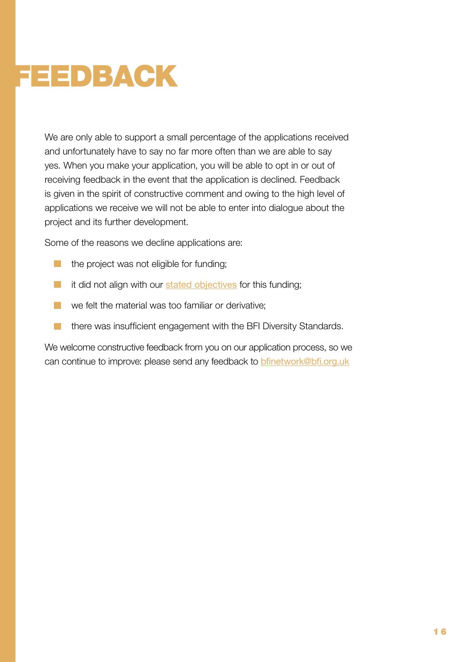# <span id="page-15-0"></span>FEEDBACK

We are only able to support a small percentage of the applications received and unfortunately have to say no far more often than we are able to say yes. When you make your application, you will be able to opt in or out of receiving feedback in the event that the application is declined. Feedback is given in the spirit of constructive comment and owing to the high level of applications we receive we will not be able to enter into dialogue about the project and its further development.

Some of the reasons we decline applications are:

- $\blacksquare$  the project was not eligible for funding;
- $\blacksquare$  it did not align with our [stated objectives](#page-2-1) for this funding;
- we felt the material was too familiar or derivative;
- **there was insufficient engagement with the BFI Diversity Standards.**

We welcome constructive feedback from you on our application process, so we can continue to improve: please send any feedback to bfinetwork@bfi.org.uk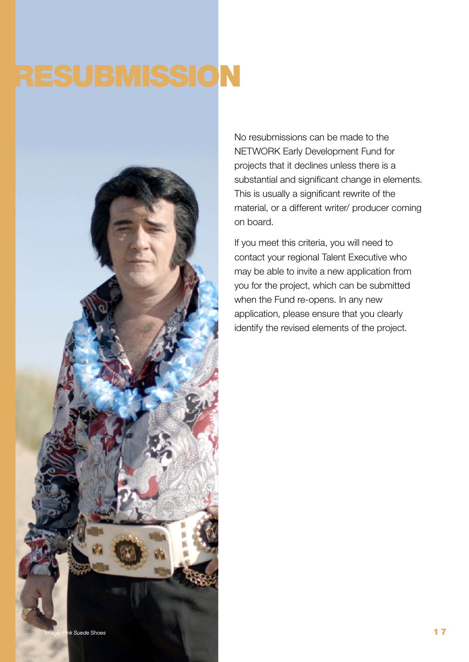# <span id="page-16-0"></span>RESUBMISSION



No resubmissions can be made to the NETWORK Early Development Fund for projects that it declines unless there is a substantial and significant change in elements. This is usually a significant rewrite of the material, or a different writer/ producer coming on board.

If you meet this criteria, you will need to contact your regional Talent Executive who may be able to invite a new application from you for the project, which can be submitted when the Fund re-opens. In any new application, please ensure that you clearly identify the revised elements of the project.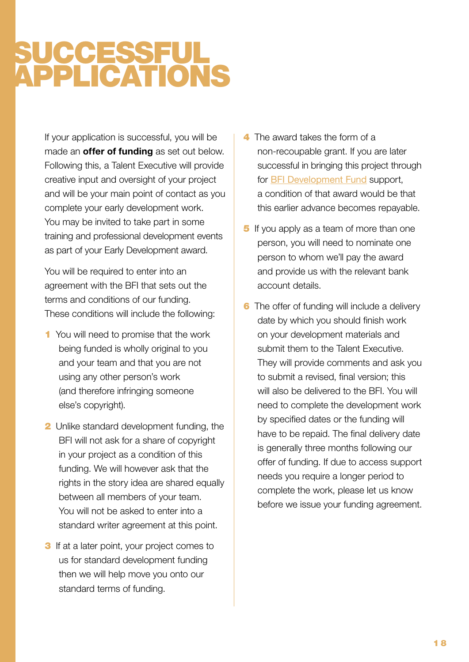### <span id="page-17-0"></span>SUCCESSFUL APPLICATIONS

If your application is successful, you will be made an **offer of funding** as set out below. Following this, a Talent Executive will provide creative input and oversight of your project and will be your main point of contact as you complete your early development work. You may be invited to take part in some training and professional development events as part of your Early Development award.

You will be required to enter into an agreement with the BFI that sets out the terms and conditions of our funding. These conditions will include the following:

- 1 You will need to promise that the work being funded is wholly original to you and your team and that you are not using any other person's work (and therefore infringing someone else's copyright).
- **2** Unlike standard development funding, the BFI will not ask for a share of copyright in your project as a condition of this funding. We will however ask that the rights in the story idea are shared equally between all members of your team. You will not be asked to enter into a standard writer agreement at this point.
- **3** If at a later point, your project comes to us for standard development funding then we will help move you onto our standard terms of funding.
- **4** The award takes the form of a non-recoupable grant. If you are later successful in bringing this project through for [BFI Development Fund](http://www.bfi.org.uk/supporting-uk-film/production-development-funding/development-funding) support, a condition of that award would be that this earlier advance becomes repayable.
- **5** If you apply as a team of more than one person, you will need to nominate one person to whom we'll pay the award and provide us with the relevant bank account details.
- **6** The offer of funding will include a delivery date by which you should finish work on your development materials and submit them to the Talent Executive. They will provide comments and ask you to submit a revised, final version; this will also be delivered to the BFI. You will need to complete the development work by specified dates or the funding will have to be repaid. The final delivery date is generally three months following our offer of funding. If due to access support needs you require a longer period to complete the work, please let us know before we issue your funding agreement.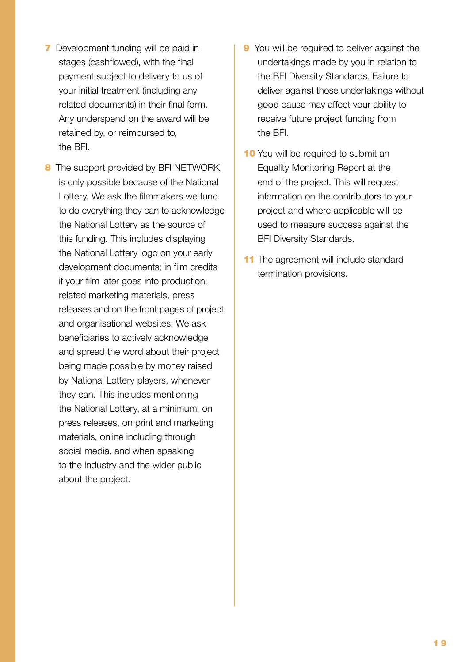- **7** Development funding will be paid in stages (cashflowed), with the final payment subject to delivery to us of your initial treatment (including any related documents) in their final form. Any underspend on the award will be retained by, or reimbursed to, the BFI.
- 8 The support provided by BFI NETWORK is only possible because of the National Lottery. We ask the filmmakers we fund to do everything they can to acknowledge the National Lottery as the source of this funding. This includes displaying the National Lottery logo on your early development documents; in film credits if your film later goes into production; related marketing materials, press releases and on the front pages of project and organisational websites. We ask beneficiaries to actively acknowledge and spread the word about their project being made possible by money raised by National Lottery players, whenever they can. This includes mentioning the National Lottery, at a minimum, on press releases, on print and marketing materials, online including through social media, and when speaking to the industry and the wider public about the project.
- **9** You will be required to deliver against the undertakings made by you in relation to the BFI Diversity Standards. Failure to deliver against those undertakings without good cause may affect your ability to receive future project funding from the BFI.
- **10** You will be required to submit an Equality Monitoring Report at the end of the project. This will request information on the contributors to your project and where applicable will be used to measure success against the BFI Diversity Standards.
- 11 The agreement will include standard termination provisions.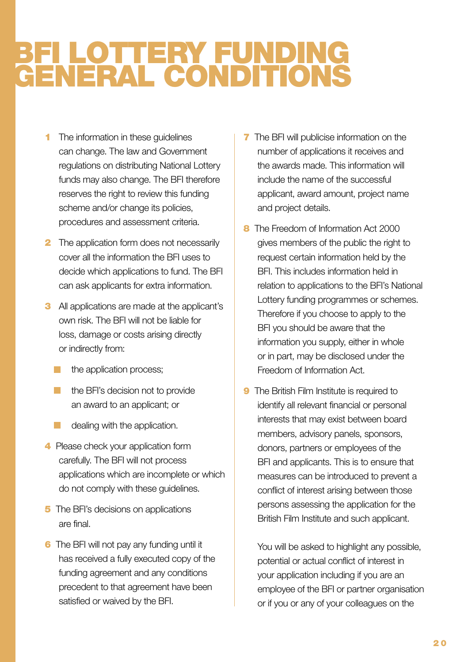### <span id="page-19-0"></span>BFI LOTTERY FUNDING GENERAL CONDITIONS

- **1** The information in these quidelines can change. The law and Government regulations on distributing National Lottery funds may also change. The BFI therefore reserves the right to review this funding scheme and/or change its policies, procedures and assessment criteria.
- **2** The application form does not necessarily cover all the information the BFI uses to decide which applications to fund. The BFI can ask applicants for extra information.
- **3** All applications are made at the applicant's own risk. The BFI will not be liable for loss, damage or costs arising directly or indirectly from:
	- the application process;
	- the BFI's decision not to provide an award to an applicant; or
	- dealing with the application.
- 4 Please check your application form carefully. The BFI will not process applications which are incomplete or which do not comply with these guidelines.
- **5** The BFI's decisions on applications are final.
- **6** The BFI will not pay any funding until it has received a fully executed copy of the funding agreement and any conditions precedent to that agreement have been satisfied or waived by the BFI.
- **7** The BFI will publicise information on the number of applications it receives and the awards made. This information will include the name of the successful applicant, award amount, project name and project details.
- 8 The Freedom of Information Act 2000 gives members of the public the right to request certain information held by the BFI. This includes information held in relation to applications to the BFI's National Lottery funding programmes or schemes. Therefore if you choose to apply to the BFI you should be aware that the information you supply, either in whole or in part, may be disclosed under the Freedom of Information Act.
- **9** The British Film Institute is required to identify all relevant financial or personal interests that may exist between board members, advisory panels, sponsors, donors, partners or employees of the BFI and applicants. This is to ensure that measures can be introduced to prevent a conflict of interest arising between those persons assessing the application for the British Film Institute and such applicant.

You will be asked to highlight any possible, potential or actual conflict of interest in your application including if you are an employee of the BFI or partner organisation or if you or any of your colleagues on the